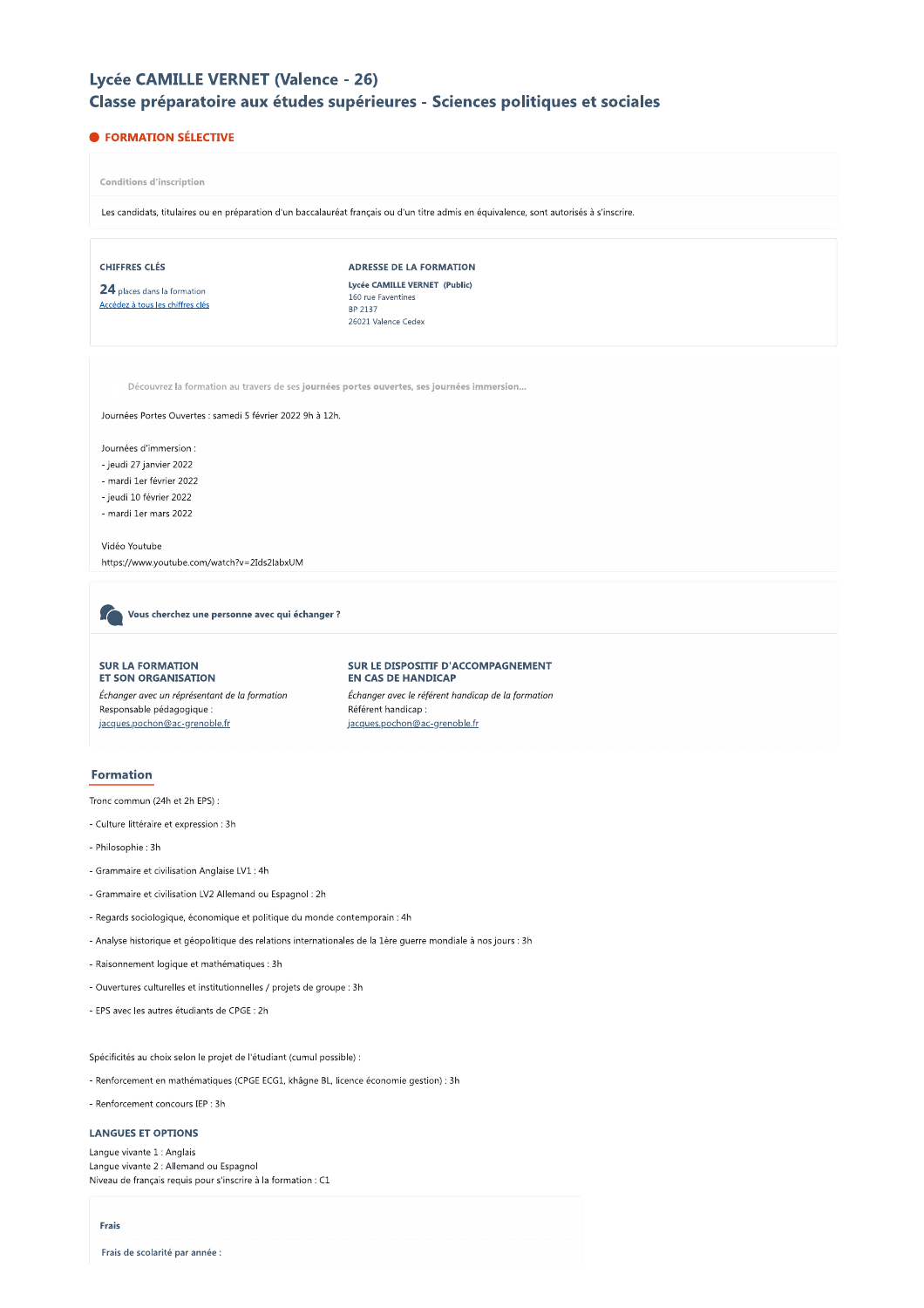# Lycée CAMILLE VERNET (Valence - 26)

# Classe préparatoire aux études supérieures - Sciences politiques et sociales

# **• FORMATION SÉLECTIVE**

**Conditions d'inscription** 

Les candidats, titulaires ou en préparation d'un baccalauréat français ou d'un titre admis en équivalence, sont autorisés à s'inscrire.

### **CHIFFRES CLÉS**

24 places dans la formation Accédez à tous les chiffres clés ADRESSE DE LA FORMATION Lycée CAMILLE VERNET (Public) 160 rue Faventines BP 2137 26021 Valence Cedex

Découvrez la formation au travers de ses journées portes ouvertes, ses journées immersion...

Journées Portes Ouvertes : samedi 5 février 2022 9h à 12h.

Journées d'immersion :

- jeudi 27 janvier 2022
- mardi 1er février 2022
- jeudi 10 février 2022
- mardi 1er mars 2022

Vidéo Youtube https://www.youtube.com/watch?v=2Ids2labxUM

Vous cherchez une personne avec qui échanger ?

#### **SUR LA FORMATION ET SON ORGANISATION**

Échanger avec un réprésentant de la formation Responsable pédagogique : jacques.pochon@ac-grenoble.fr

#### SUR LE DISPOSITIF D'ACCOMPAGNEMENT **EN CAS DE HANDICAP**

Échanger avec le référent handicap de la formation Référent handicap jacques.pochon@ac-grenoble.fr

# **Formation**

Tronc commun (24h et 2h EPS) :

- Culture littéraire et expression : 3h
- Philosophie: 3h
- Grammaire et civilisation Anglaise LV1 : 4h
- Grammaire et civilisation LV2 Allemand ou Espagnol : 2h
- Regards sociologique, économique et politique du monde contemporain : 4h
- Analyse historique et géopolitique des relations internationales de la 1ère guerre mondiale à nos jours : 3h
- Raisonnement logique et mathématiques : 3h
- Ouvertures culturelles et institutionnelles / projets de groupe : 3h
- EPS avec les autres étudiants de CPGE : 2h

Spécificités au choix selon le projet de l'étudiant (cumul possible) :

- Renforcement en mathématiques (CPGE ECG1, khâgne BL, licence économie gestion) : 3h
- Renforcement concours IEP : 3h

#### **LANGUES ET OPTIONS**

Langue vivante 1 : Anglais Langue vivante 2 : Allemand ou Espagnol Niveau de français requis pour s'inscrire à la formation : C1

### Frais

Frais de scolarité par année :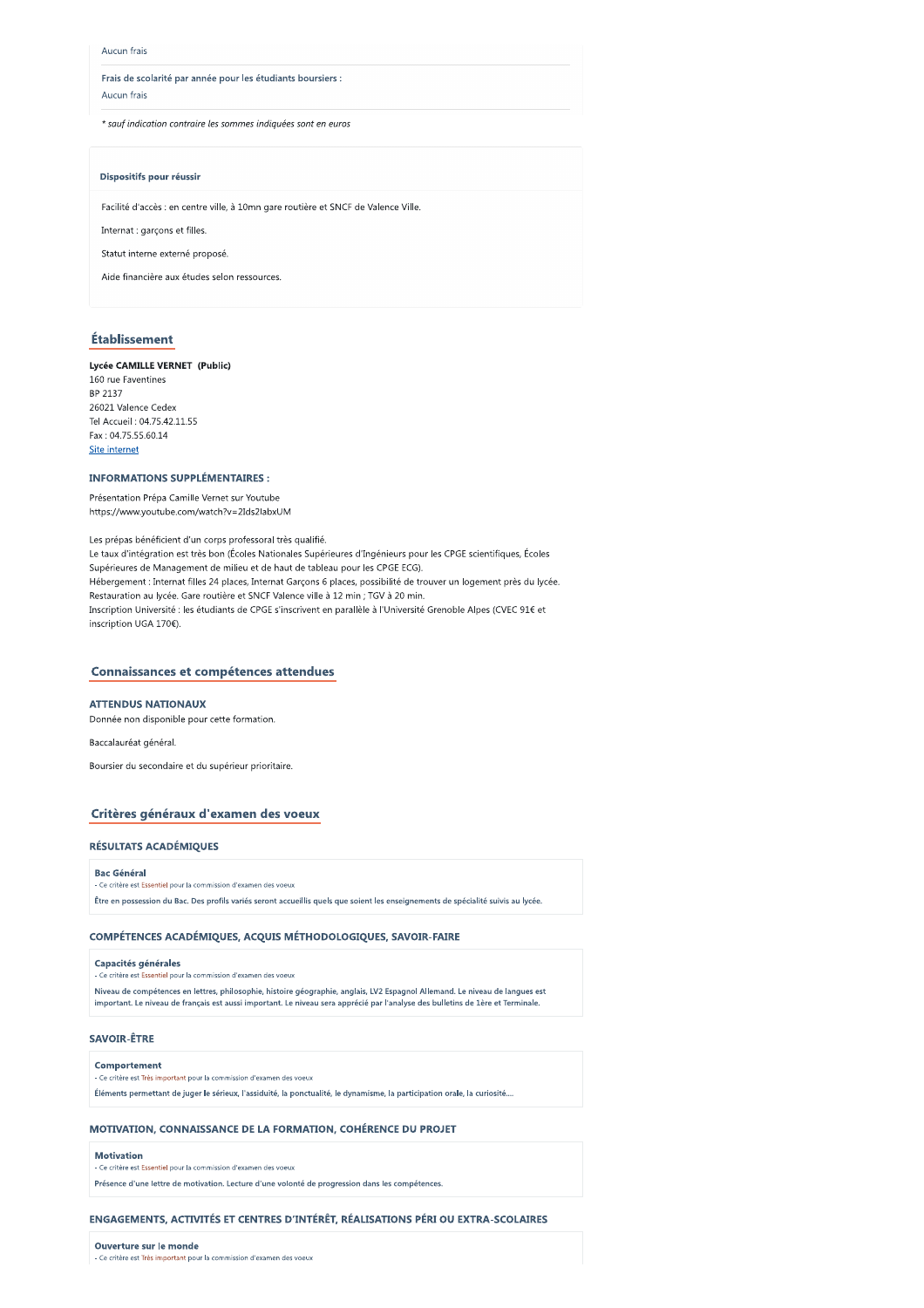#### Aucun frais

Frais de scolarité par année pour les étudiants boursiers : Aucun frais

\* sauf indication contraire les sommes indiquées sont en euros

### Dispositifs pour réussir

Facilité d'accès : en centre ville, à 10mn gare routière et SNCF de Valence Ville.

Internat : garçons et filles.

Statut interne externé proposé.

Aide financière aux études selon ressources

# Établissement

### Lycée CAMILLE VERNET (Public)

160 rue Faventines BP 2137 26021 Valence Cedex Tel Accueil: 04.75.42.11.55 Fax: 04.75.55.60.14 Site internet

#### **INFORMATIONS SUPPLÉMENTAIRES:**

Présentation Prépa Camille Vernet sur Youtube https://www.youtube.com/watch?v=2Ids2labxUM

Les prépas bénéficient d'un corps professoral très qualifié. Le taux d'intégration est très bon (Écoles Nationales Supérieures d'Ingénieurs pour les CPGE scientifiques, Écoles Supérieures de Management de milieu et de haut de tableau pour les CPGE ECG). Hébergement : Internat filles 24 places, Internat Garçons 6 places, possibilité de trouver un logement près du lycée. Restauration au lycée. Gare routière et SNCF Valence ville à 12 min ; TGV à 20 min. Inscription Université : les étudiants de CPGE s'inscrivent en parallèle à l'Université Grenoble Alpes (CVEC 91€ et inscription UGA 170€).

# Connaissances et compétences attendues

#### **ATTENDUS NATIONAUX**

Donnée non disponible pour cette formation.

Baccalauréat général.

Boursier du secondaire et du supérieur prioritaire.

# Critères généraux d'examen des voeux

### **RÉSULTATS ACADÉMIQUES**

#### **Bac Général**

.<br>Le critère est Essentiel pour la commission d'examen des voeux

Être en possession du Bac. Des profils variés seront accueillis quels que soient les enseignements de spécialité suivis au lycée.

### COMPÉTENCES ACADÉMIQUES, ACQUIS MÉTHODOLOGIQUES, SAVOIR-FAIRE

### Capacités générales

.<br>Essentiel pour la commission d'examen des voeux

Niveau de compétences en lettres, philosophie, histoire géographie, anglais, LV2 Espagnol Allemand, Le niveau de langues est important. Le niveau de français est aussi important. Le niveau sera apprécié par l'analyse des bulletins de 1ère et Terminale

# **SAVOIR-ÊTRE**

#### Comportement

-<br>Ce critère est Très important pour la commission d'examen des voeux

Éléments permettant de juger le sérieux, l'assiduité, la ponctualité, le dynamisme, la participation orale, la curiosité....

# MOTIVATION, CONNAISSANCE DE LA FORMATION, COHÉRENCE DU PROJET

### Motivation

.<br>Le critère est Essentiel pour la commission d'examen des voeux

Présence d'une lettre de motivation. Lecture d'une volonté de progression dans les compétences.

### ENGAGEMENTS, ACTIVITÉS ET CENTRES D'INTÉRÊT, RÉALISATIONS PÉRI OU EXTRA-SCOLAIRES

Ouverture sur le monde - Ce critère est Très important pour la commission d'examen des voeux